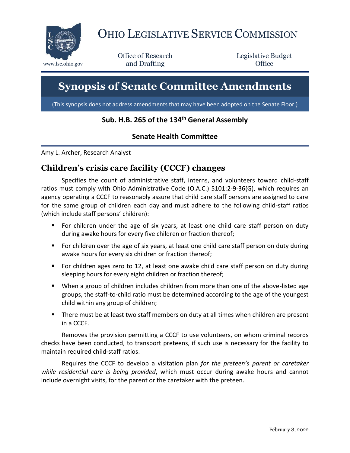

# OHIO LEGISLATIVE SERVICE COMMISSION

Office of Research www.lsc.ohio.gov **and Drafting Office** 

Legislative Budget

# **Synopsis of Senate Committee Amendments**

(This synopsis does not address amendments that may have been adopted on the Senate Floor.)

# **Sub. H.B. 265 of the 134th General Assembly**

#### **Senate Health Committee**

Amy L. Archer, Research Analyst

## **Children's crisis care facility (CCCF) changes**

Specifies the count of administrative staff, interns, and volunteers toward child-staff ratios must comply with Ohio Administrative Code (O.A.C.) 5101:2-9-36(G), which requires an agency operating a CCCF to reasonably assure that child care staff persons are assigned to care for the same group of children each day and must adhere to the following child-staff ratios (which include staff persons' children):

- For children under the age of six years, at least one child care staff person on duty during awake hours for every five children or fraction thereof;
- For children over the age of six years, at least one child care staff person on duty during awake hours for every six children or fraction thereof;
- For children ages zero to 12, at least one awake child care staff person on duty during sleeping hours for every eight children or fraction thereof;
- When a group of children includes children from more than one of the above-listed age groups, the staff-to-child ratio must be determined according to the age of the youngest child within any group of children;
- There must be at least two staff members on duty at all times when children are present in a CCCF.

Removes the provision permitting a CCCF to use volunteers, on whom criminal records checks have been conducted, to transport preteens, if such use is necessary for the facility to maintain required child-staff ratios.

Requires the CCCF to develop a visitation plan *for the preteen's parent or caretaker while residential care is being provided*, which must occur during awake hours and cannot include overnight visits, for the parent or the caretaker with the preteen.